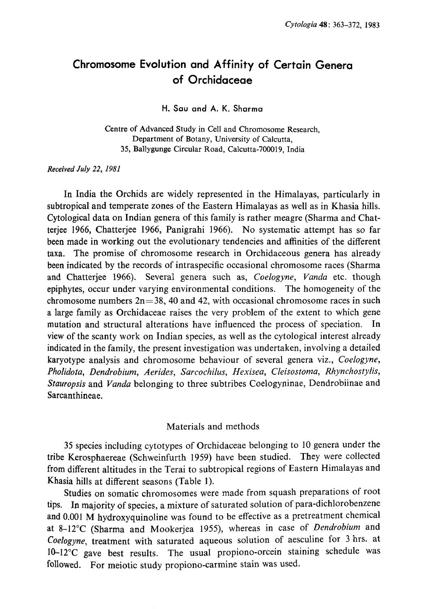# Chromosome Evolution and Affinity of Certain Genera of Orchidaceae

H. Sau and A. K. Sharma

Centre of Advanced Study in Cell and Chromosome Research, Department of Botany, University of Calcutta, 35, Ballygunge Circular Road, Calcutta-700019, India

Received July 22, 1981

In India the Orchids are widely represented in the Himalayas, particularly in subtropical and temperate zones of the Eastern Himalayas as well as in Khasia hills. Cytological data on Indian genera of this family is rather meagre (Sharma and Chat teriee 1966, Chatterjee 1966, Panigrahi 1966). No systematic attempt has so far been made in working out the evolutionary tendencies and affinities of the different taxa. The promise of chromosome research in Orchidaceous genera has already been indicated by the records of intraspecific occasional chromosome races (Sharma and Chatterjee 1966). Several genera such as, Coelogyne, Vanda etc. though epiphytes, occur under varying environmental conditions. The homogeneity of the chromosome numbers  $2n=38$ , 40 and 42, with occasional chromosome races in such a large family as Orchidaceae raises the very problem of the extent to which gene mutation and structural alterations have influenced the process of speciation. In view of the scanty work on Indian species, as well as the cytological interest already indicated in the family, the present investigation was undertaken, involving a detailed karyotype analysis and chromosome behaviour of several genera viz., Coelogyne, Pholidota, Dendrobium, Aerides, Sarcochilus, Hexisea, Cleisostoma, Rhynchostylis, Stauropsis and Vanda belonging to three subtribes Coelogyninae, Dendrobiinae and Sarcanthineae.

# Materials and methods

35 species including cytotypes of Orchidaceae belonging to 10 genera under the tribe Kerosphaereae (Schweinfurth 1959) have been studied. They were collected from different altitudes in the Terai to subtropical regions of Eastern Himalayas and Khasia hills at different seasons (Table 1).

Studies on somatic chromosomes were made from squash preparations of root tips. In majority of species, a mixture of saturated solution of para-dichlorobenzene and 0.001 M hydroxyquinoline was found to be effective as a pretreatment chemical at 8-12°C (Sharma and Mookerjea 1955), whereas in case of Dendrobium and Coelogyne, treatment with saturated aqueous solution of aesculine for 3 hrs. at 10-12°C gave best results. The usual propiono-orcein staining schedule was followed. For meiotic study propiono-carmine stain was used.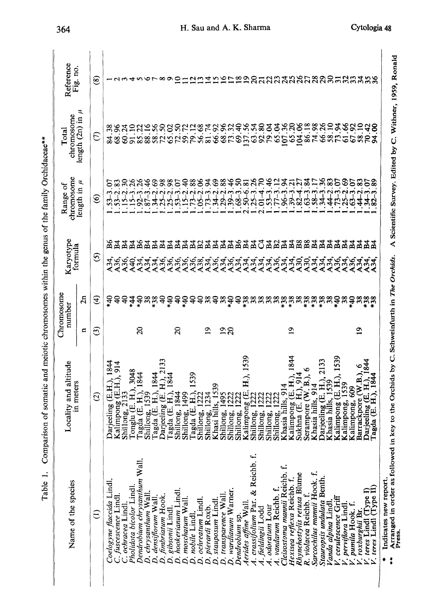| j<br>ĺ                                             |
|----------------------------------------------------|
|                                                    |
| ֖֖֖֖֖֪ׅ֪֪ׅ֪֪֪ׅ֖֖֚֚֚֚֚֚֚֚֚֚֚֚֬֝֝֝                   |
| <b>A SAN DENSE DESCRIPTION</b>                     |
|                                                    |
| ノーン しょうしょ                                          |
| i<br>;                                             |
| $\ddot{\phantom{0}}$<br>ملمت<br>$\frac{1}{2}$<br>í |

| Name of the species                                                                            | Locality and altitude                                   |              | Chromosome<br>number               | Karyotype       |                 | chromosome<br>Range of                 | chromosome<br>Total                                     | Reference            |
|------------------------------------------------------------------------------------------------|---------------------------------------------------------|--------------|------------------------------------|-----------------|-----------------|----------------------------------------|---------------------------------------------------------|----------------------|
|                                                                                                | in meters                                               | Е            | $\overline{a}$                     | formula         |                 | length in $\mu$                        | length $(2n)$ in $\mu$                                  | Fig. no.             |
| $\widehat{\in}$                                                                                | $\widehat{\circ}$                                       | ල            | ⊕                                  | O               |                 | ত্ত                                    | E                                                       | ම                    |
| Coelogyne flaccida Lindl.                                                                      | Darjeeling (E.H.), 1844                                 |              | $\frac{6}{3}$                      | A34,            | 82<br>Ba        | $53 - 3$                               | 84.38                                                   |                      |
| C. fuscescence Lindl.<br>C. ochracea Lindl.                                                    | Kalimpong (E.H.), 914                                   |              | ş<br>ş                             | A36,            | 모               | $.53 - 2$<br>$5-2$                     |                                                         |                      |
| Pholidota bicolor Lindl.                                                                       | 3048<br>Tonglu (E. H.),<br>Shillong, 2133               |              | 44                                 | A40,            | 54              | $\frac{8}{3}$<br>$15-3$                | $\approx$<br>ತೆಸ                                        |                      |
| Dendrobium chrysanthum Wall.                                                                   | agda (E. H.), 1844                                      | $\Omega$     |                                    | A34.            |                 | $.92 - 3$                              |                                                         |                      |
| D. chrysanthum Wall.                                                                           | Shillong, 1539                                          |              |                                    |                 | $\frac{84}{54}$ | र्द<br>$\overline{87}$                 |                                                         |                      |
| D. densiflorum Wall.                                                                           | 1844<br>Tagda (E. H.),                                  |              | ទំនងទំ                             | .<br>४३४,       | $\Xi$           | \$                                     | 2358888                                                 |                      |
| D. fimbriatum Hook.                                                                            | 133<br>Darjeeling (E. H.)                               |              |                                    |                 | $\frac{54}{54}$ | $\frac{8}{2}$                          |                                                         |                      |
| D. gibsonii Lindl.                                                                             | $\vec{H}$<br>Tagda (E.                                  |              | $^{40}$                            | 436,<br>A36,    |                 | 8 <sup>o</sup>                         |                                                         |                      |
| D. hookerianum Lindl.                                                                          | 844<br>Shillong,                                        | $\Omega$     | ੩                                  |                 | ন্ত্ৰ হ         | S<br>$.53 - 3.$                        |                                                         | 0                    |
| D. moschatum Wall.<br>D. nobile Lindl                                                          | 1539<br>Shillong, 1499                                  |              | $\frac{3}{40}$<br>੩                | A36,<br>A36,    | $\mathbb{F}^2$  | 88<br>ş<br>$^{13-2}$<br>52             | 59.72<br>79.12                                          |                      |
| D. ochreatum Lindl.                                                                            | 222<br>$\widehat{H}$<br>Tagda (E.<br>Shillong,          |              | ş                                  | A38,            |                 | క<br>$.05 - 2$                         |                                                         |                      |
| D. pierardi Roxb.                                                                              | 234<br>Shillong,                                        | Q            |                                    | A34,            | 8쪽쪽             | र्द्र<br>$73 - 3$                      | 56.68<br>81.74                                          |                      |
| D. stauposum Lindl.                                                                            | 1539<br>Khasi hills                                     |              | $\overset{\tt \otimes}{}$          | A36.            |                 | ತಿ<br>$34 - 2$                         | 66.92                                                   |                      |
| D. transparence Wall                                                                           | 1495<br>Shillong,                                       | $\tilde{=}$  | 38                                 | A34,<br>A36,    | $\Xi$           | 88.<br>$29 - 2$                        |                                                         |                      |
| D. wardianum Warner.                                                                           | 122<br>Shillong,                                        | $\Omega$     | 940                                |                 | ार्च            | $\frac{46}{5}$<br>$39 - 3$             | 68.32<br>69.40                                          |                      |
| Dendrobium sp.<br>Aerides affine Wall.                                                         | 1222<br>Shillong,                                       |              | $\mathsf{R}$                       | A34,            |                 | ິ<br>$\ddot{\mathbf{S}}$<br>$.68 - 3$  |                                                         |                      |
| A. crassifolium Par. & Reichb. f.                                                              | H.), 1539<br>Kalimpong (E.<br>222<br>Shillong,          |              | $*38$                              | A34,            | <b>SAA5</b>     | $\frac{26}{5}$<br>$50 - 6$<br>$25 - 3$ | $\frac{56}{5}$<br>$\mathcal{L}$<br>$\mathcal{L}$<br>S   | ຊ                    |
| A. fieldingii Lodd                                                                             | 1222<br>Shillong,                                       |              | 38                                 | A34,            |                 | ೯<br>$\frac{4}{1}$                     |                                                         | $\overline{a}$       |
| A. odoratum Lour                                                                               | 122<br>Shillong,                                        |              | <u>៷៷៓៓៓៷៓៓៓៓៓៓៓៓៓៓៓៓៓៓៓៓៓៓៓៓៓</u> | A34,            | <b>ENEREE</b>   | $\frac{4}{6}$<br>$53 - 3$              | 92.80<br>79.04                                          | $\mathfrak{L}$       |
| 4. vandarum Reichb. f.                                                                         | 122<br>Shillong,                                        |              |                                    |                 |                 | 5<br>r7-3                              | 65.04                                                   |                      |
| Cleisostoma mannii Reichb.                                                                     | Khasia hills, 914                                       |              |                                    | A34,            |                 | द्र<br>$96 - 3$                        |                                                         |                      |
| Rhynchostylis retusa Blume<br>Hexisea reflexa Reichb. f.                                       | 1844<br>Kalimpong (E. H.)<br>$\Xi$<br>Sukhna (E.        | $\mathbf{a}$ |                                    |                 |                 | 21<br>ត<br>$39 - 3$                    | 65.20                                                   | <b>AZAALAARREARE</b> |
| R. violacea Reichb. f.                                                                         | ≊<br>₹<br>Serampore                                     |              |                                    | A30,<br>A30,    |                 | ಡ<br>$\mathbb{S}^{-3}$                 |                                                         |                      |
| Sarcochilus mannii Hook. f.                                                                    | $\frac{4}{9}$<br>Khasia hills,                          |              |                                    | A34,            |                 | $\frac{1}{8}$                          | 86.18<br>74.98                                          |                      |
| Stauropsis undulata Benth.                                                                     | 2133<br>Darjeeling (E. H.)<br>Khasia hills, 1539        |              |                                    | A34,            |                 |                                        | .26<br>$\frac{8}{5}$                                    |                      |
| Vanda alpina Lindl.                                                                            |                                                         |              |                                    | A34,            |                 |                                        | 58.10<br>73.94                                          |                      |
| V. cerulescence Griff                                                                          | 1539<br>Kalimpong (E. H.)                               |              |                                    | A36,            | <b>포모모모모</b>    | 5<br>.<br>ج                            |                                                         |                      |
| '. perviflora Lindl                                                                            | Kalimpong, 1539                                         |              | 38                                 |                 |                 | ౩                                      | 61.66                                                   |                      |
| '. pumila Hook. f.                                                                             | ١o<br>Barrackpore (W.B.)<br>Kalimpong, 609              | ≏            | $^{40}$                            | र्युड्यू<br>४२५ |                 | S                                      | <b>2253</b><br>225                                      |                      |
| V. teres Lindl (Type I)<br>. roxburghii Br                                                     | 844<br>Darjeeling (E. H.)                               |              |                                    | <b>A34.</b>     |                 |                                        |                                                         |                      |
| V. teres Lindl (Type II)                                                                       | 184<br>$\hat{H}$<br>Tagda (E.                           |              | <u>အန္တာ</u>                       | A34             | 모모모             | 3                                      | g<br>द्र                                                |                      |
| Arranged in order as followed i<br>Indicates new report<br>Press.<br>$\ddot{\phantom{a}}$<br>ö | n key to the Orchids by C. Schweinfurth in The Orchids. |              |                                    |                 |                 |                                        | A Scientific Survey. Edited by C. Withner, 1959, Ronald |                      |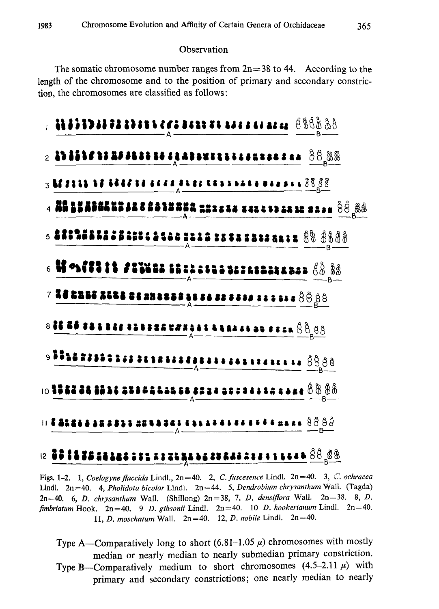### **Observation**

The somatic chromosome number ranges from  $2n=38$  to 44. According to the length of the chromosome and to the position of primary and secondary constric tion, the chromosomes are classified as follows:



# 

Figs. 1-2. 1, Coelogyne flaccida Lindl., 2n=40. 2, C. fuscesence Lindl. 2n=40. 3, C. ochracea Lindl.  $2n=40$ . 4, Pholidota bicolor Lindl.  $2n=44$ . 5, Dendrobium chrysanthum Wall. (Tagda)  $2n=40$ . 6, D. chrysanthum Wall. (Shillong)  $2n=38$ , 7. D. densiflora Wall.  $2n=38$ . 8, D. fimbriatum Hook.  $2n=40$ . 9 D. gibsonii Lindl.  $2n=40$ . 10 D. hookerianum Lindl.  $2n=40$ . 11, D. moschatum Wall.  $2n=40$ . 12, D. nobile Lindl.  $2n=40$ .

Type A-Comparatively long to short  $(6.81-1.05 \mu)$  chromosomes with mostly median or nearly median to nearly submedian primary constriction. Type B-Comparatively medium to short chromosomes  $(4.5-2.11 \mu)$  with primary and secondary constrictions; one nearly median to nearly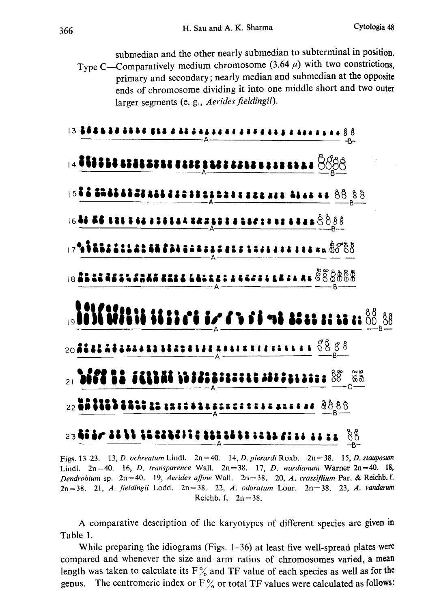submedian and the other nearly submedian to subterminal in position. Type C-Comparatively medium chromosome (3.64 $\mu$ ) with two constrictions, primary and secondary; nearly median and submedian at the opposite ends of chromosome dividing it into one middle short and two outer larger segments (e.g., Aerides fieldingii).



Figs. 13-23. 13, D. ochreatum Lindl.  $2n=40$ . 14, D. pierardi Roxb.  $2n=38$ . 15, D. stauposum Lindl.  $2n=40$ . 16, D. transparence Wall.  $2n=38$ . 17, D. wardianum Warner  $2n=40$ . 18, Dendrobium sp. 2n=40. 19, Aerides affine Wall. 2n=38. 20, A. crassiflium Par. & Reichb. f.  $2n=38.$  21, A. fieldingii Lodd.  $2n=38.$  22, A. odoratum Lour.  $2n=38.$  23, A. vandarum Reichb. f.  $2n=38$ .

A comparative description of the karyotypes of different species are given in Table 1.

While preparing the idiograms (Figs.  $1-36$ ) at least five well-spread plates were compared and whenever the size and arm ratios of chromosomes varied, a mean length was taken to calculate its  $F\%$  and TF value of each species as well as for the genus. The centromeric index or  $F\frac{9}{9}$  or total TF values were calculated as follows: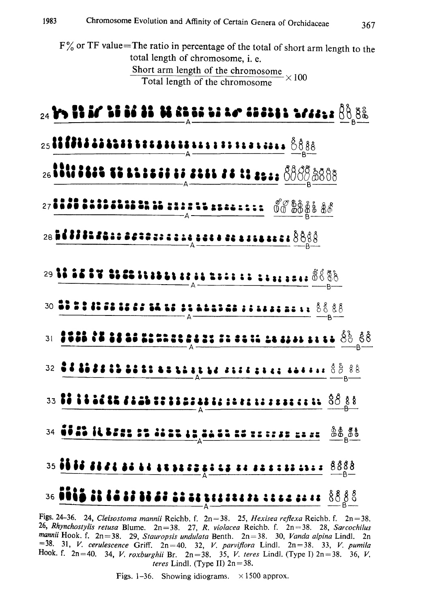F% or TF value=The ratio in percentage of the total of short arm length to the total length of chromosome, i. e. Short arm length of the chromose  $\overline{Total length of the chromosome} \times 100$ 



Figs. 24–36. 24, *Cleisostoma mannii* Reichb. f.  $2n=38$ . 25, *Hexisea reflexa* Reichb. f.  $2n=$ <sup>26</sup>, Rhynchostylis retusa Blume.  $2n=38$ . 27, R. violacea Reichb. f.  $2n=38$ . 28, Sarcoc mannii Hook. f.  $2n=38$ .  $29$ , Stauropsis undulata Benth.  $2n=38$ .  $30$ , Vanda alpina Lindl.  $21=38$ .  $31$ , V. pumilation  $2n=40$ .  $32$ , V. parviflora Lindl.  $2n=38$ .  $33$ , V. pumilation  $32$ . **Hook.** f.  $2n=40$ . 34, *V. roxburghii* Br.  $2n=38$ . 35, *V. teres* Lindl. (Type I)  $2n=38$ . 36, *V* teres Lindl. (Type II)  $2n=38$ .

Figs. 1-36. Showing idiograms.  $\times$  1500 approx.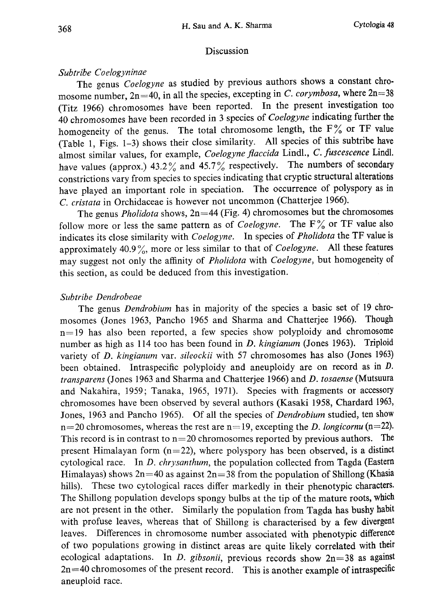# Discussion

# Subtribe Coelogyninae

The genus Coelogyne as studied by previous authors shows a constant chromosome number,  $2n=40$ , in all the species, excepting in C. corymbosa, where  $2n=38$ (Titz 1966) chromosomes have been reported. In the present investigation too 40 chromosomes have been recorded in 3 species of Coelogyne indicating further the homogeneity of the genus. The total chromosome length, the  $F\%$  or TF value (Table 1, Figs. 1-3) shows their close similarity. All species of this subtribe have almost similar values, for example, Coelogyne flaccida Lindl., C. fuscescence Lindl. have values (approx.) 43.2% and 45.7% respectively. The numbers of secondary constrictions vary from species to species indicating that cryptic structural alterations have played an important role in speciation. The occurrence of polyspory as in C. cristata in Orchidaceae is however not uncommon (Chatterjee 1966).

The genus *Pholidota* shows,  $2n=44$  (Fig. 4) chromosomes but the chromosomes follow more or less the same pattern as of *Coelogyne*. The  $F\%$  or TF value also indicates its close similarity with Coelogyne. In species of Pholidota the TF value is approximately 40.9%, more or less similar to that of *Coelogyne*. All these features may suggest not only the affinity of Pholidota with Coelogyne, but homogeneity of this section, as could be deduced from this investigation.

# Subtribe Dendrobeae

The genus *Dendrobium* has in majority of the species a basic set of 19 chromosomes (Jones 1963, Pancho 1965 and Sharma and Chatterjee 1966). Though n=19 has also been reported, a few species show polyploidy and chromosome number as high as 114 too has been found in *D. kingianum* (Jones 1963). Triploid variety of D. kingianum var. sileockii with 57 chromosomes has also (Jones 1963) been obtained. Intraspecific polyploidy and aneuploidy are on record as in *D*. transparens (Jones 1963 and Sharma and Chatterjee 1966) and D. tosaense (Mutsuura and Nakahira, 1959; Tanaka, 1965, 1971). Species with fragments or accessory chromosomes have been observed by several authors (Kasaki 1958, Chardard 1963, Jones, 1963 and Pancho 1965). Of all the species of *Dendrobium* studied, ten show  $n=20$  chromosomes, whereas the rest are  $n=19$ , excepting the D. longicornu (n=22). This record is in contrast to  $n=20$  chromosomes reported by previous authors. The present Himalayan form  $(n=22)$ , where polyspory has been observed, is a distinct cytological race. In D. chrysanthum, the population collected from Tagda (Eastern Himalayas) shows  $2n=40$  as against  $2n=38$  from the population of Shillong (Khasia hills). These two cytological races differ markedly in their phenotypic characters. The Shillong population develops spongy bulbs at the tip of the mature roots, which are not present in the other. Similarly the population from Tagda has bushy habit with profuse leaves, whereas that of Shillong is characterised by a few divergent leaves. Differences in chromosome number associated with phenotypic difference of two populations growing in distinct areas are quite likely correlated with their ecological adaptations. In D. gibsonii, previous records show  $2n=38$  as against  $2n=40$  chromosomes of the present record. This is another example of intraspecific aneuploid race.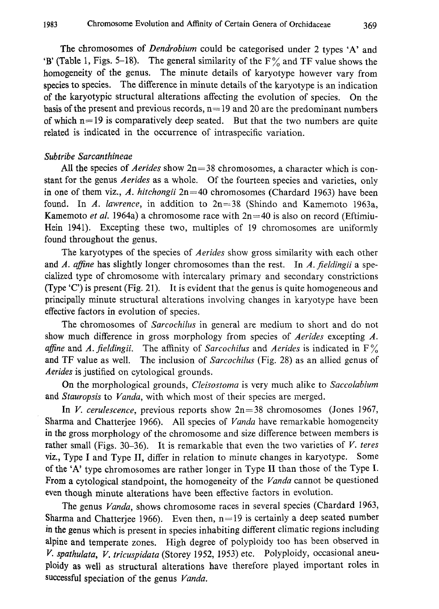The chromosomes of *Dendrobium* could be categorised under 2 types 'A' and  $B'$  (Table 1, Figs. 5–18). The general similarity of the  $F\%$  and TF value shows the homogeneity of the genus. The minute details of karyotype however vary from species to species. The difference in minute details of the karyotype is an indication of the karyotypic structural alterations affecting the evolution of species. On the basis of the present and previous records,  $n=19$  and 20 are the predominant numbers of which  $n=19$  is comparatively deep seated. But that the two numbers are quite related is indicated in the occurrence of intraspecific variation.

## Subtribe Sarcanthineae

All the species of Aerides show  $2n=38$  chromosomes, a character which is constant for the genus Aerides as a whole. Of the fourteen species and varieties, only in one of them viz., A. hitchongii  $2n=40$  chromosomes (Chardard 1963) have been found. In A. lawrence, in addition to  $2n=38$  (Shindo and Kamemoto 1963a, Kamemoto et al. 1964a) a chromosome race with  $2n=40$  is also on record (Eftimiu-Hein 1941). Excepting these two, multiples of 19 chromosomes are uniformly found throughout the genus.

The karyotypes of the species of *Aerides* show gross similarity with each other and A. affine has slightly longer chromosomes than the rest. In A. fieldingii a specialized type of chromosome with intercalary primary and secondary constrictions (Type 'C') is present (Fig. 21). It is evident that the genus is quite homogeneous and principally minute structural alterations involving changes in karyotype have been effective factors in evolution of species.

The chromosomes of Sarcochilus in general are medium to short and do not show much difference in gross morphology from species of *Aerides* excepting A. affine and A. fieldingii. The affinity of Sarcochilus and Aerides is indicated in  $F\%$ and TF value as well. The inclusion of Sarcochilus (Fig. 28) as an allied genus of Aerides is justified on cytological grounds.

On the morphological grounds, *Cleisostoma* is very much alike to *Saccolabium* and Stauropsis to Vanda, with which most of their species are merged.

In V. cerulescence, previous reports show  $2n=38$  chromosomes (Jones 1967, Sharma and Chatterjee 1966). All species of Vanda have remarkable homogeneity in the gross morphology of the chromosome and size difference between members is rather small (Figs. 30–36). It is remarkable that even the two varieties of  $V$ . teres viz., Type I and Type II, differ in relation to minute changes in karyotype. Some of the 'A' type chromosomes are rather longer in Type II than those of the Type I. From a cytological standpoint, the homogeneity of the Vanda cannot be questioned even though minute alterations have been effective factors in evolution.

The genus Vanda, shows chromosome races in several species (Chardard 1963, Sharma and Chatterjee 1966). Even then,  $n=19$  is certainly a deep seated number in the genus which is present in species inhabiting different climatic regions including alpine and temperate zones. High degree of polyploidy too has been observed in V, spathulata, V. tricuspidata (Storey 1952, 1953) etc. Polyploidy, occasional aneu ploidy as well as structural alterations have therefore played important roles in successful speciation of the genus Vanda.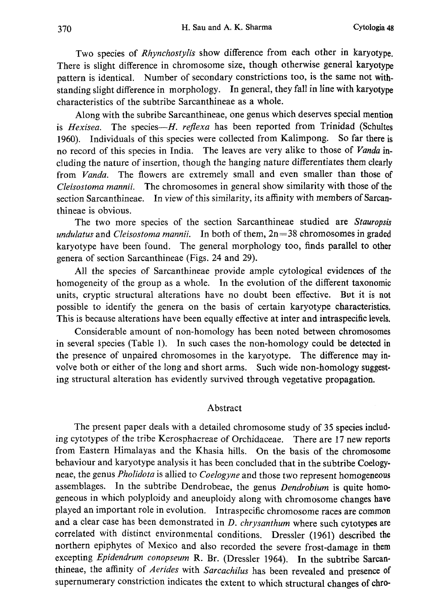Two species of Rhynchostylis show difference from each other in karyotype. There is slight difference in chromosome size, though otherwise general karyotype pattern is identical. Number of secondary constrictions too, is the same not with standing slight difference in morphology. In general, they fall in line with karyotype characteristics of the subtribe Sarcanthineae as a whole.

Along with the subribe Sarcanthineae, one genus which deserves special mention is Hexisea. The species- $H$ . reflexa has been reported from Trinidad (Schultes 1960). Individuals of this species were collected from Kalimpong. So far there is no record of this species in India. The leaves are very alike to those of Vanda in cluding the nature of insertion, though the hanging nature differentiates them clearly from Vanda. The flowers are extremely small and even smaller than those of Cleisostoma mannii. The chromosomes in general show similarity with those of the section Sarcanthineae. In view of this similarity, its affinity with members of Sarcan thineae is obvious.

The two more species of the section Sarcanthineae studied are Stauropsis undulatus and Cleisostoma mannii. In both of them,  $2n=38$  chromosomes in graded karyotype have been found. The general morphology too, finds parallel to other genera of section Sarcanthineae (Figs. 24 and 29).

All the species of Sarcanthineae provide ample cytological evidences of the homogeneity of the group as a whole. In the evolution of the different taxonomic units, cryptic structural alterations have no doubt been effective. But it is not possible to identify the genera on the basis of certain karyotype characteristics. This is because alterations have been equally effective at inter and intraspecific levels.

Considerable amount of non-homology has been noted between chromosomes in several species (Table 1). In such cases the non-homology could be detected in the presence of unpaired chromosomes in the karyotype. The difference may in volve both or either of the long and short arms. Such wide non-homology suggest ing structural alteration has evidently survived through vegetative propagation.

# Abstract

The present paper deals with a detailed chromosome study of 35 species includ ing cytotypes of the tribe Kerosphaereae of Orchidaceae. There are 17 new reports from Eastern Himalayas and the Khasia hills. On the basis of the chromosome behaviour and karyotype analysis it has been concluded that in the subtribe Coelogy neae, the genus Pholidota is allied to Coelogyne and those two represent homogeneous assemblages. In the subtribe Dendrobeae, the genus Dendrobium is quite homogeneous in which polyploidy and aneuploidy along with chromosome changes have played an important role in evolution. Intraspecific chromosome races are common and a clear case has been demonstrated in D. chrysanthum where such cytotypes are correlated with distinct environmental conditions. Dressler (1961) described the northern epiphytes of Mexico and also recorded the severe frost-damage in them excepting Epidendrum conopseum R. Br. (Dressler 1964). In the subtribe Sarcan thineae, the affinity of Aerides with Sarcachilus has been revealed and presence of supernumerary constriction indicates the extent to which structural changes of chro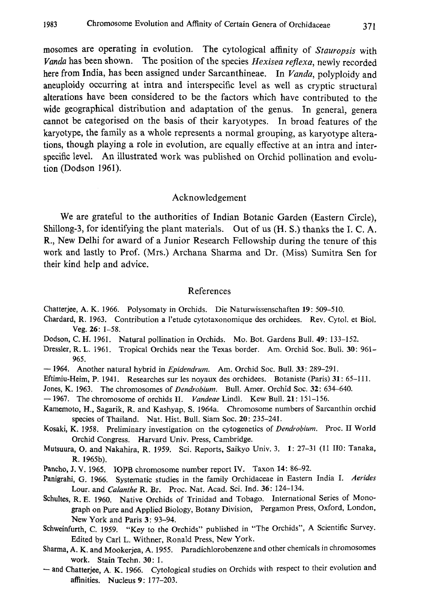mosomes are operating in evolution. The cytological affinity of Stauropsis with Vanda has been shown. The position of the species Hexisea reflexa, newly recorded here from India, has been assigned under Sarcanthineae. In Vanda, polyploidy and aneuploidy occurring at intra and interspecific level as well as cryptic structural alterations have been considered to be the factors which have contributed to the wide geographical distribution and adaptation of the genus. In general, genera cannot be categorised on the basis of their karyotypes. In broad features of the karyotype, the family as a whole represents a normal grouping, as karyotype altera tions, though playing a role in evolution, are equally effective at an intra and inter specific level. An illustrated work was published on Orchid pollination and evolu tion (Dodson 1961).

#### Acknowledgement

We are grateful to the authorities of Indian Botanic Garden (Eastern Circle), Shillong-3, for identifying the plant materials. Out of us (H. S.) thanks the I. C. A. R., New Delhi for award of a Junior Research Fellowship during the tenure of this work and lastly to Prof. (Mrs.) Archana Sharma and Dr. (Miss) Sumitra Sen for their kind help and advice.

#### References

Chatterjee, A. K. 1966. Polysomaty in Orchids. Die Naturwissenschaften 19: 509-510.

- Chardard, R. 1963. Contribution al'etude cytotaxonomique des orchidees. Rev. Cytol. et Biol. Veg. 26: 1-58.
- Dodson, C. H. 1961. Natural pollination in Orchids. Mo. Bot. Gardens Bull. 49: 133-152.

Dressler, R. L. 1961. Tropical Orchids near the Texas border. Am. Orchid Soc. Bull. 30: 961 -965.

- 1964. Another natural hybrid in *Epidendrum*. Am. Orchid Soc. Bull. 33: 289-291.
- Eftimiu-Heim, P. 1941. Researches sur les noyaux des orchidees. Botaniste (Paris) 31: 65-111.
- Jones, K. 1963. The chromosomes of Dendrobium. Bull. Amer. Orchid Soc. 32: 634-640.
- 1967. The chromosome of orchids II. Vandeae Lindl. Kew Bull. 21: 151-156.
- Kamemoto, H., Sagarik, R. and Kashyap, S. 1964a. Chromosome numbers of Sarcanthin orchid species of Thailand. Nat. Hist. Bull. Siam Soc. 20: 235-241.

Kosaki, K. 1958. Preliminary investigation on the cytogenetics of Dendrobium. Proc. II World Orchid Congress. Harvard Univ. Press, Cambridge.

- Mutsuura, O. and Nakahira, R. 1959. Sci. Reports, Saikyo Univ. 3. 1: 27-31 (11 110: Tanaka, R. 1965b).
- Pancho, J. V. 1965. IOPB chromosome number report IV. Taxon 14: 86-92.
- Panigrahi, G. 1966. Systematic studies in the family Orchidaceae in Eastern India I. Aerides Lour. and Calanthe R. Br. Proc. Nat. Acad. Sci. Ind. 36: 124-134.
- Schultes, R. E. 1960. Native Orchids of Trinidad and Tobago. International Series of Mono graph on Pure and Applied Biology, Botany Division, Pergamon Press, Oxford, London, New York and Paris 3: 93-94.
- Schweinfurth, C. 1959. "Key to the Orchids" published in "The Orchids", A Scientific Survey. Edited by Carl L. Withner, Ronald Press, New York.
- Sharma, A. K. and Mookerjea, A. 1955. Paradichlorobenzene and other chemicals in chromosomes work. Stain Techn. 30: 1.
- and Chatterjee, A. K. 1966. Cytological studies on Orchids with respect to their evolution and affinities. Nucleus 9: 177-203.